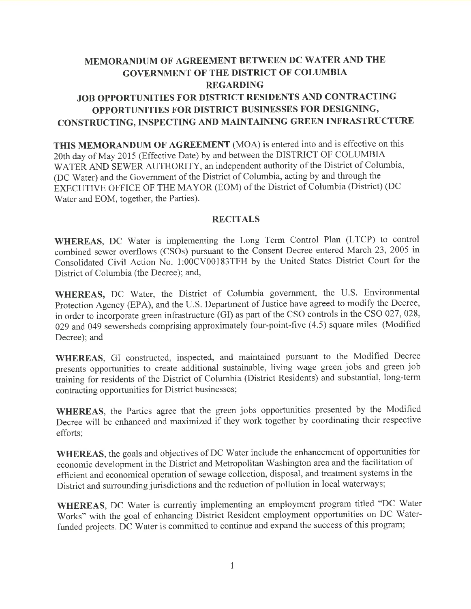# MEMORANDUM OF AGREEMENT BETWEEN DC WATER AND THE GOVERNMENT OF THE DISTRICT OF COLUMBIA REGARDING JOB OPPORTUNITIES FOR DISTRICT RESIDENTS AND CONTRACTING OPPORTUNITIES FOR DISTRICT BUSINESSES FOR DESIGNING, CONSTRUCTING, INSPECTING AND MAINTAINING GREEN INFRASTRUCTURE

THIS MEMORANDUM OF AGREEMENT (MOA) is entered into and is effective on this 20th day of May 2015 (Effective Date) by and between the DISTRICT OF COLUMBIA WATER AND SEWER AUTHORITY, an independent authority of the District of Columbia, (DC Water) and the Government of the District of Columbia, acting by and through the EXECUTIVE OFFICE OF THE MAYOR (EOM) of the District of Columbia (District) (DC Water and EOM, together, the Parties).

#### **RECITALS**

WHEREAS, DC Water is implementing the Long Term Control Plan (LTCP) to control combined sewer overflows (CSOs) pursuant to the Consent Decree entered March 23, 2005 in Consolidated Civil Action No. 1:00CV00183TFH by the United States District Court for the District of Columbia (the Decree); and,

WHEREAS, DC Water, the District of Columbia government, the U.S. Environmental Protection Agency (EPA), and the U.S. Department of Justice have agreed to modify the Decree, in order to incorporate green infrastructure (GI) as part of the CSO controls in the CSO 027,028, 029 and 049 sewersheds comprising approximately four-point-five (4.5) square miles (Modified Decree); and

WHEREAS, GI constructed, inspected, and maintained pursuant to the Modified Decree presents opportunities to create additional sustainable, living wage green jobs and green job iraining for residents of the District of Columbia (District Residents) and substantial, long-term contracting opportunities for District businesses;

WHEREAS, the Parties agree that the green jobs opportunities presented by the Modified Decree will be enhanced and maximized if they work together by coordinating their respective efforts;

WHEREAS, the goals and objectives of DC Water include the enhancement of opportunities for economic development in the District and Metropolitan Washington area and the facilitation of effrcient and economical operation of sewage collection, disposal, and treatment systems in the District and surrounding jurisdictions and the reduction of pollution in local waterways;

WHEREAS, DC Water is currently implementing an employment program titled "DC Water Works" with the goal of enhancing District Resident employment opportunities on DC Waterfunded projects. DC Water is committed to continue and expand the success of this program;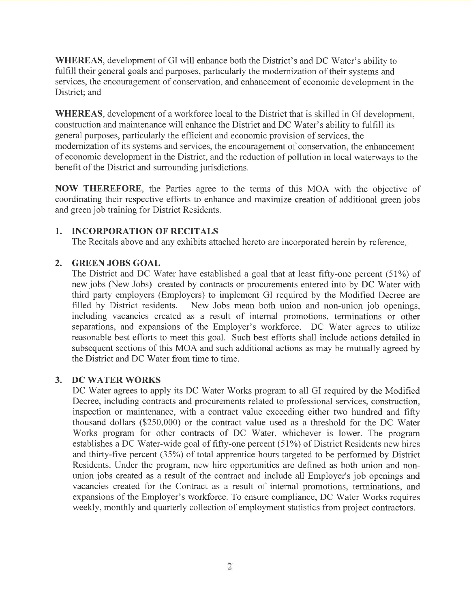WHEREAS, development of GI will enhance both the District's and DC Water's ability to fulfill their general goals and purposes, particularly the modernization of their systems and services, the encouragement of conservation, and enhancement of economic development in the District; and

WHEREAS, development of a workforce local to the District that is skilled in GI development, construction and maintenance will enhance the District and DC Water's ability to fulfill its general purposes, particularly the efficient and economic provision of services, the modernization of its systems and services, the encouragement of conservation, the enhancement of economic development in the District, and the reduction of pollution in local waterways to the benefit of the District and surrounding jurisdictions.

NOW THEREFORE, the Parties agree to the terms of this MOA with the objective of coordinating their respective efforts to enhance and maximize creation of additional green jobs and green job training for District Residents.

#### 1. INCORPORATION OF RECITALS

The Recitals above and any exhibits attached hereto are incorporated herein by reference

#### 2. GREEN JOBS GOAL

The District and DC Water have established a goal that at least fifty-one percent (51%) of new jobs (New Jobs) created by contracts or procurements entered into by DC Water with third party employers (Employers) to implement GI required by the Modified Decree are filled by District residents. New Jobs mean both union and non-union job openings, including vacancies created as a result of internal promotions, terminations or other separations, and expansions of the Employer's workforce. DC Water agrees to utilize reasonable best efforts to meet this goal. Such best efforts shall include actions detailed in subsequent sections of this MOA and such additional actions as may be mutually agreed by the District and DC Water from time to time.

#### 3. DC WATER WORKS

DC Water agrees to apply its DC Water Works program to all GI required by the Modified Decree, including contracts and procurements related to professional services, construction, inspection or maintenance, with a contract value exceeding either two hundred and fifty thousand dollars (\$250,000) or the contract value used as a threshold for the DC Water Works program for other contracts of DC Water, whichever is lower. The program establishes a DC Water-wide goal of fifty-one percent (51%) of District Residents new hires and thirty-five percent (35%) of total apprentice hours targeted to be performed by District Residents. Under the program, new hire opportunities are defined as both union and nonunion jobs created as a result of the contract and include all Employer's job openings and vacancies created for the Contract as a result of internal promotions, terminations, and expansions of the Employer's workforce. To ensure compliance, DC Water Works requires weekly, monthly and quarterly collection of employment statistics from project contractors.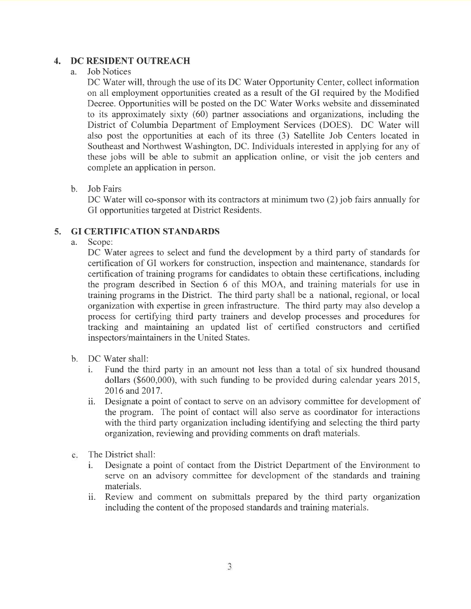# 4. DC RESIDENT OUTREACH

#### a. Job Notices

DC Water will, through the use of its DC Water Opportunity Center, collect information on all employment opportunities created as a result of the GI required by the Modified Decree. Opportunities will be posted on the DC Water Works website and disseminated to its approximately sixty  $(60)$  partner associations and organizations, including the District of Columbia Department of Employment Services (DOES). DC Water will also post the opportunities at each of its three (3) Satellite Job Centers located in Southeast and Northwest Washington, DC. Individuals interested in applying for any of these jobs will be able to submit an application online, or visit the job centers and complete an application in person.

#### b. Job Fairs

DC Water will co-sponsor with its contractors at minimum two (2) job fairs annually for GI opportunities targeted at District Residents.

#### 5. GI CERTIFICATION STANDARDS

a. Scope:

DC Water agrees to select and fund the development by a third party of standards for certification of GI workers for construction, inspection and maintenance, standards for certification of training programs for candidates to obtain these certifications, including the program described in Section 6 of this MOA, and training materials for use in training programs in the District. The third party shall be a national, regional, or local organization with expertise in green infrastructure. The third party may also develop a process for certifying third party trainers and develop processes and procedures for tracking and maintaining an updated list of certihed constructors and certified inspectors/maintainers in the United States.

- b. DC Water shall:<br>i. Fund the th
	- Fund the third party in an amount not less than a total of six hundred thousand dollars (\$600,000), with such funding to be provided during calendar years 2015, 2016 and 2017.
	- ii. Designate a point of contact to serve on an advisory committee for development of the program. The point of contact will also serve as coordinator for interactions with the third party organization including identifying and selecting the third party organization, reviewing and providing comments on draft materials.
- The District shall:  $\overline{c}$ .
	- i. Designate a point of contact from the District Department of the Environment to serve on an advisory committee for development of the standards and training materials.
	- ii. Review and comment on submittals prepared by the third party organization including the content of the proposed standards and training materials.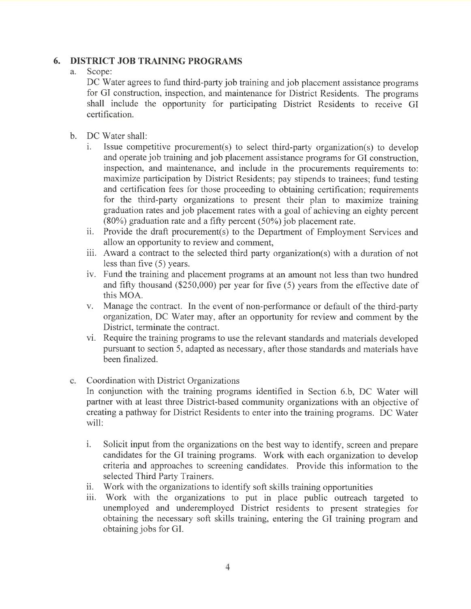# 6. DISTRICT JOB TRAINING PROGRAMS<br>a. Scope:

Scope:

DC Water agrees to fund third-party job training and job placement assistance programs for GI construction, inspection, and maintenance for District Residents. The programs shall include the opportunity for participating District Residents to receive GI certification.

- b. DC Water shall:
	- i. Issue competitive procurement(s) to select third-party organization(s) to develop and operate job training and job placement assistance programs for GI construction, inspection, and maintenance, and include in the procurements requirements to: maximize participation by District Residents; pay stipends to trainees; fund testing and certification fees for those proceeding to obtaining certification; requirements for the third-party organizations to present their plan to maximize training graduation rates and job placement rates with a goal of achieving an eighty percent  $(80\%)$  graduation rate and a fifty percent  $(50\%)$  job placement rate.
	- ii. Provide the draft procurement(s) to the Department of Employment Services and allow an opportunity to review and comment,
	- iii. Award a contract to the selected third party organization(s) with a duration of not less than five (5) years.
	- iv. Fund the training and placement programs at an amount not less than two hundred and fifty thousand (\$250,000) per year for five (5) years from the effective date of this MOA.
	- v. Manage the contract. In the event of non-performance or default of the third-party organization, DC Water may, after an opportunity for review and comment by the District, terminate the contract.
	- vi. Require the training programs to use the relevant standards and materials developed pursuant to section 5, adapted as necessary, after those standards and materials have been finalized.
- Coordination with District Organizations c.

In conjunction with the training programs identified in Section 6.b, DC Water will partner with at least three District-based community organizations with an objective of creating a pathway for District Residents to enter into the training programs. DC Water will:

- i. Solicit input from the organizations on the best way to identify, screen and prepare candidates for the GI training programs. Work with each organization to develop criteria and approaches to screening candidates. Provide this information to the selected Third Party Trainers.
- ii. Work with the organizations to identify soft skills training opportunities
- iii. Work with the organizations to put in place public outreach targeted to unemployed and underemployed District residents to present strategies for obtaining the necessary soft skills training, entering the GI training program and obtaining jobs for GI.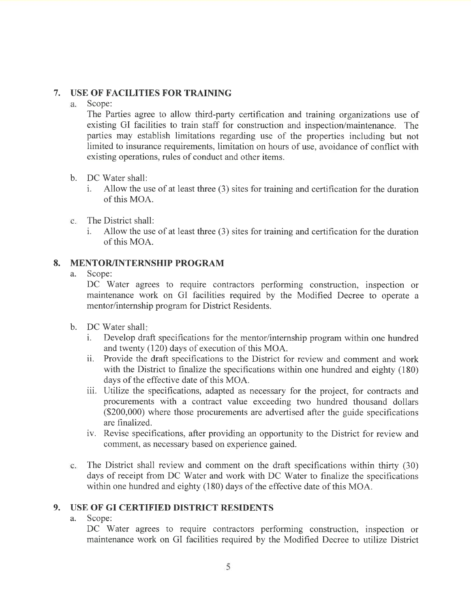#### 7. USE OF FACILITIES FOR TRAINING

Scope:  $a<sub>z</sub>$ 

The Parties agree to allow third-party certification and training organizations use of existing GI facilities to train staff for construction and inspection/maintenance. The parties may establish limitations regarding use of the properties including but not limited to insurance requirements, limitation on hours of use, avoidance of conflict with existing operations, rules of conduct and other items.

- b. DC Water shall:
	- i. Allow the use of at least three (3) sites for training and certification for the duration of this MOA.
- The District shall:  $\mathbf{c}$ .
	- i. Allow the use of at least three (3) sites for training and certihcation for the duration of this MOA.

#### 8. MENTOR/INTERNSHIP PROGRAM

a. Scope:

DC Water agrees to require contractors performing construction, inspection or maintenance work on GI facilities required by the Modified Decree to operate <sup>a</sup> mentor/internship program for District Residents.

- b. DC Water shall
	- i. Develop draft specifications for the mentor/internship program within one hundred and twenty (120) days of execution of this MOA.
	- ii. Provide the draft specifications to the District for review and comment and work with the District to finalize the specifications within one hundred and eighty (180) days of the effective date of this MOA.
	- iii. Utilize the specifications, adapted as necessary for the project, for contracts and procurements with a contract value exceeding two hundred thousand dollars (\$200,000) where those procurements are advertised after the guide specifications are frnalized.
	- iv. Revise specifications, after providing an opportunity to the District for review and comment, as necessary based on experience gained.
- The District shall review and comment on the draft specifications within thirty (30)  $c_{\cdot}$ days of receipt from DC Water and work with DC Water to finalize the specifications within one hundred and eighty (180) days of the effective date of this MOA.

#### 9. USE OF GI CERTIFIED DISTRICT RESIDENTS

a. Scope:

DC Water agrees to require contractors performing construction, inspection or maintenance work on GI facilities required by the Modified Decree to utilize District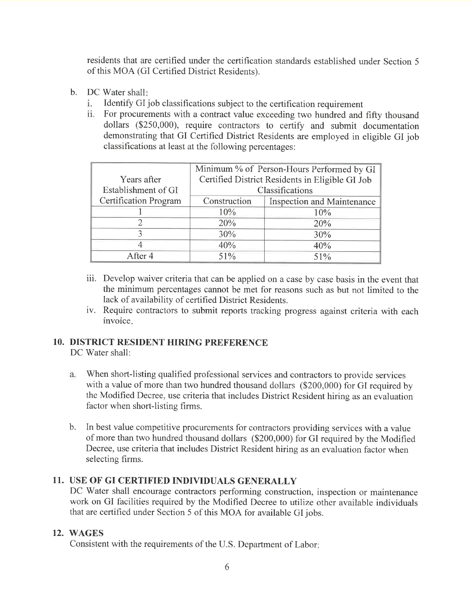residents that are certified under the certification standards established under Section <sup>5</sup> of this MOA (GI Certified District Residents).

- b. DC Water shall
	- Identify GI job classifications subject to the certification requirement i.
	- For procurements with a contract value exceeding two hundred and fifty thousand dollars (\$250,000), require contractors to certify and submit documentation demonstrating that GI Certified District Residents are employed in eligible GI job classifications at least at the following percentages:

|                              | Minimum % of Person-Hours Performed by GI       |                            |
|------------------------------|-------------------------------------------------|----------------------------|
| Years after                  | Certified District Residents in Eligible GI Job |                            |
| Establishment of GI          | Classifications                                 |                            |
| <b>Certification Program</b> | Construction                                    | Inspection and Maintenance |
|                              | 10%                                             | 10%                        |
|                              | 20%                                             | 20%                        |
|                              | 30%                                             | 30%                        |
|                              | 40%                                             | 40%                        |
| After 4                      | 51%                                             | 51%                        |

- iii. Develop waiver criteria that can be applied on a case by case basis in the event that the minimum percentages cannot be met for reasons such as but not limited to the lack of availability of certified District Residents.
- iv. Require contractors to submit reports tracking progress against criteria with each invoice.

#### 10. DISTRICT RESIDENT HIRING PREFERENCE

DC Water shall:

- $a.$ When short-listing qualified professional services and contractors to provide services with a value of more than two hundred thousand dollars (\$200,000) for GI required by the Modihed Decree, use criteria that includes District Resident hiring as an evaluation factor when short-listing firms.
- b. In best value competitive procurements for contractors providing services with a value of more than two hundred thousand dollars (\$200,000) for GI required by the Modified Decree, use criteria that includes District Resident hiring as an evaluation factor when selecting firms.

### 11. USE OF GI CERTIFIED INDIVIDUALS GENERALLY

DC Water shall encourage contractors performing construction, inspection or maintenance work on GI facilities required by the Modified Decree to utilize other available individuals that are certified under Section 5 of this MOA for available GI jobs.

### 12. WAGES

Consistent with the requirements of the U.S. Department of Labor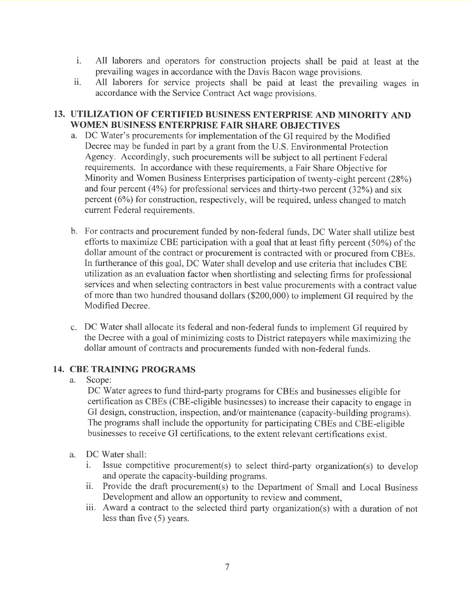- i. All laborers and operators for construction projects shall be paid at least at the prevailing wages in accordance with the Davis Bacon wage provisions.
- ii. All laborers for service projects shall be paid at least the prevailing wages in accordance with the Service Contract Act wage provisions.

#### 13. UTILIZATION OF CERTIFIED BUSINESS ENTERPRISE AND MINORITY AND WOMEN BUSINESS ENTERPRISE FAIR SHARE OBJECTIVES

- a. DC Water's procurements for implementation of the GI required by the Modified Decree may be funded in part by a grant from the U.S. Environmental Protection Agency. Accordingly, such procurements will be subject to all pertinent Federal requirements. In accordance with these requirements, a Fair Share Objective for Minority and Women Business Enterprises participation of twenty-eight percent (25%) and four percent (4%) for professional services and thirty-two percent (32%) and six percent (6%) for construction, respectively, will be required, unless changed to match current Federal requirements.
- b. For contracts and procurement funded by non-federal funds, DC Water shall utilize best efforts to maximize CBE participation with a goal that at least fifty percent (50%) of the dollar amount of the contract or procurement is contracted with or procured from CBEs. In furtherance of this goal, DC Water shall develop and use criteria that includes CBE utilization as an evaluation factor when shortlisting and selecting firms for professional services and when selecting contractors in best value procurements with a contract value of more than two hundred thousand dollars (S200,000) to implement GI required by the Modified Decree.
- DC Water shall allocate its federal and non-federal funds to implement GI required by the Decree with a goal of minimizing costs to District ratepayers while maximizing the dollar amount of contracts and procurements funded with non-federal funds.

#### 14. CBE TRAINING PROGRAMS

#### a. Scope:

DC Water agrees to fund third-party programs for CBEs and businesses eligible for certification as CBEs (CBE-eligible businesses) to increase their capacity to engage in GI design, construction, inspection, and/or maintenance (capacity-building programs). The programs shall include the opportunity for participating CBEs and CBE-eligible businesses to receive GI certifications, to the extent relevant certifications exist.

- DC Water shall: a.
	- i. Issue competitive procurement(s) to select third-party organization(s) to develop and operate the capacity-building programs.
	- ii. Provide the draft procurement(s) to the Department of Small and Local Business Development and allow an opportunity to review and comment,
	- iii. Award a contract to the selected third party organization(s) with a duration of not less than five (5) years.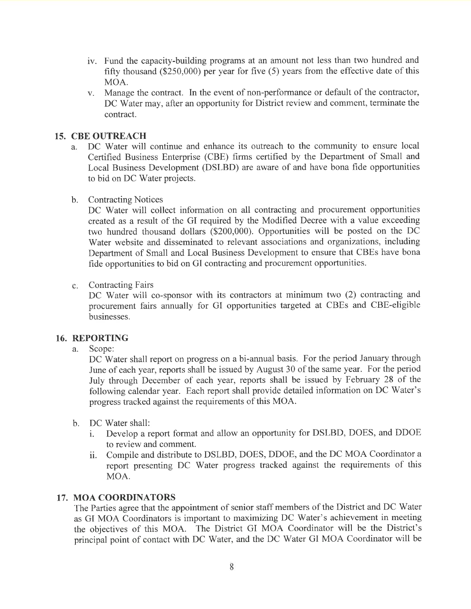- iv. Fund the capacity-building programs at an amount not less than two hundred and fifty thousand (\$250,000) per year for five (5) years from the effective date of this MOA.
- v. Manage the contract. In the event of non-performance or default of the contractor, DC Water may, after an opportunity for District review and comment, terminate the contract.

#### 15. CBE OUTREACH

a. DC Water will continue and enhance its outreach to the community to ensure local Certified Business Enterprise (CBE) firms certified by the Department of Small and Local Business Development (DSLBD) are aware of and have bona fide opportunities to bid on DC Water projects.

#### b. Contracting Notices

DC Water will collect information on all contracting and procurement opportunities created as a result of the GI required by the Modified Decree with a value exceeding two hundred thousand dollars (\$200,000). Opportunities will be posted on the DC Water website and disseminated to relevant associations and organizations, including Department of Small and Local Business Development to ensure that CBEs have bona fide opportunities to bid on GI contracting and procurement opportunities.

#### $c.$ Contracting Fairs

DC Water will co-sponsor with its contractors at minimum two (2) contracting and procurement fairs annually for GI opportunities targeted at CBEs and CBE-eligible businesses.

#### 16. REPORTING

a. Scope:

DC Water shall report on progress on a bi-annual basis. For the period January through June of each year, reports shall be issued by August 30 of the same year. For the period July through December of each year, reports shall be issued by February 28 of the following calendar year. Each report shall provide detailed information on DC Water's progress tracked against the requirements of this MOA.

- b. DC Water shall:
	- i. Develop a report format and allow an opportunity for DSLBD, DOES, and DDOE to review and comment.
	- ii. Compile and distribute to DSLBD, DOES, DDOE, and the DC MOA Coordinator <sup>a</sup> report presenting DC Water progress tracked against the requirements of this MOA.

#### 17. MOA COORDINATORS

The Parties agree that the appointment of senior staff members of the District and DC Water as GI MOA Coordinators is important to maximizing DC Water's achievement in meeting the objectives of this MOA. The District GI MOA Coordinator will be the District's principal point of contact with DC Water, and the DC Water GI MOA Coordinator will be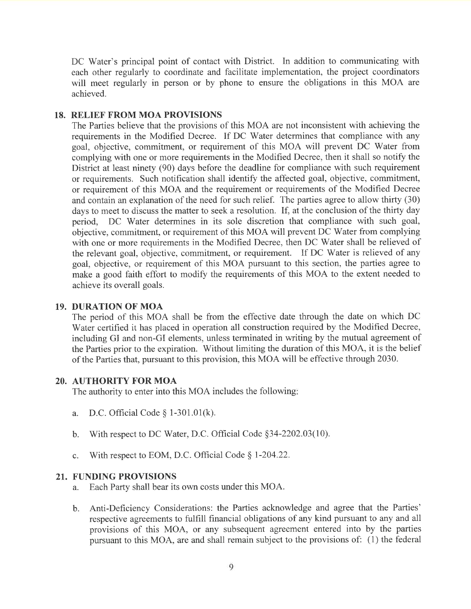DC Water's principal point of contact with District. In addition to communicating with each other regularly to coordinate and facilitate implementation, the project coordinators will meet regularly in person or by phone to ensure the obligations in this MOA are achieved.

#### 18. RELIEF FROM MOA PROVISIONS

The Parties believe that the provisions of this MOA are not inconsistent with achieving the requirements in the Modified Decree. If DC Water determines that compliance with any goal, objective, commitment, or requirement of this MOA will prevent DC Water from complying with one or more requirements in the Modified Decree, then it shall so notify the District at least ninety (90) days before the deadline for compliance with such requirement or requirements. Such notification shall identify the affected goal, objective, commitment, or requirement of this MOA and the requirement or requirements of the Modified Decree and contain an explanation of the need for such relief. The parties agree to allow thirty (30) days to meet to discuss the matter to seek a resolution. If, at the conclusion of the thirty day period, DC Water determines in its sole discretion that compliance with such goal, objective, commitment, or requirement of this MOA will prevent DC Water from complying with one or more requirements in the Modified Decree, then DC Water shall be relieved of the relevant goal, objective, commitment, or requirement. If DC Water is relieved of any goal, objective, or requirement of this MOA pursuant to this section, the parties agree to make a good faith effort to modify the requirements of this MOA to the extent needed to achieve its overall goals.

#### 19. DURATION OF MOA

The period of this MOA shall be from the effective date through the date on which DC Water certified it has placed in operation all construction required by the Modified Decree, including GI and non-Gl elements, unless terminated in writing by the mutual agreement of the Parties prior to the expiration. Without limiting the duration of this MOA, it is the belief of the Parties that, pursuant to this provision, this MOA will be effective through 2030.

#### 20. AUTHORITY FOR MOA

The authority to enter into this MOA includes the following

- a. D.C. Official Code  $\S$  1-301.01(k).
- b. With respect to DC Water, D.C. Official Code  $\S$ 34-2202.03(10).
- c. With respect to EOM, D.C. Official Code  $\S$  1-204.22.

#### 21. FUNDING PROVISIONS

- a. Each Party shall bear its own costs under this MOA.
- Anti-Deficiency Considerations: the Parties acknowledge and agree that the Parties' respective agreements to fulfill financial obligations of any kind pursuant to any and all provisions of this MOA, or any subsequent agreement entered into by the parties pursuant to this MOA, are and shall remain subject to the provisions of: (1) the federal b.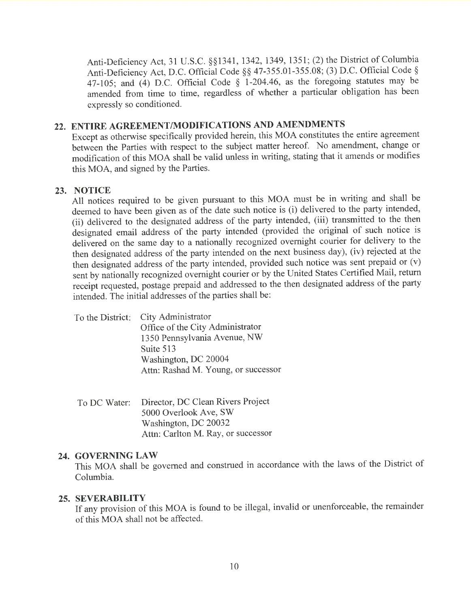Anti-Deficiency Act, 31 U.S.C. \$\$1341, 1342,1349, 1351; (2) the District of Columbia Anti-Deficiency Act, D.C. Official Code § § 47-355.01-355.08; (3) D.C. Official Code § 47-105; and (4) D.C. Official Code  $\frac{1}{2}$  1-204.46, as the foregoing statutes may be amended from time to time, regardless of whether a particular obligation has been expressly so conditioned.

# 22. ENTIRE AGREEMENT/MODIFICATIONS AND AMENDMENTS

Except as otherwise specifically provided herein, this MOA constitutes the entire agreement between the Parties with respect to the subject matter hereof. No amendment, change or modification of this MOA shall be valid unless in writing, stating that it amends or modifies this MOA, and signed by the Parties.

#### 23. NOTICE

All notices required to be given pursuant to this MOA must be in writing and shall be deemed to have been given as of the date such notice is (i) delivered to the party intended, (ii) delivered to the designated address of the party intended, (iii) transmitted to the then designated email address of the party intended (provided the original of such notice is delivered on the same day to a nationally recognized overnight courier for delivery to the then designated address of the party intended on the next business day), (iv) rejected at the then designated address of the party intended, provided such notice was sent prepaid or (v) sent by nationally recognized overnight courier or by the United States Certified Mail, return receipt requested, postage prepaid and addressed to the then designated address of the party intended. The initial addresses of the parties shall be:

| To the District: City Administrator |
|-------------------------------------|
| Office of the City Administrator    |
| 1350 Pennsylvania Avenue, NW        |
| Suite 513                           |
| Washington, DC 20004                |
| Attn: Rashad M. Young, or successor |

To DC Water: Director, DC Clean Rivers Project 5000 Overlook Ave, SW Washington, DC 20032 Attn: Carlton M. Ray, or successor

#### 24. GOVERNING LAW

This MOA shall be governed and construed in accordance with the laws of the District of Columbia.

#### 25. SEVERABILITY

If any provision of this MOA is found to be illegal, invalid or unenforceable, the remainder of this MOA shall not be affected.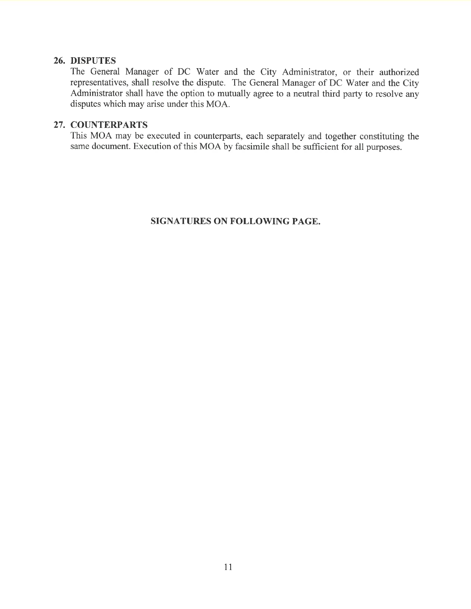#### 26. DISPUTES

The General Manager of DC Water and the City Administrator, or their authorized representatives, shall resolve the dispute. The General Manager of DC Water and the City Administrator shall have the option to mutually agree to a neutral third party to resolve any disputes which may arise under this MOA.

#### 27. COUNTERPARTS

This MOA may be executed in counterparts, each separately and together constituting the same document. Execution of this MOA by facsimile shall be sufficient for all purposes.

#### SIGNATURES ON FOLLOWING PAGE.